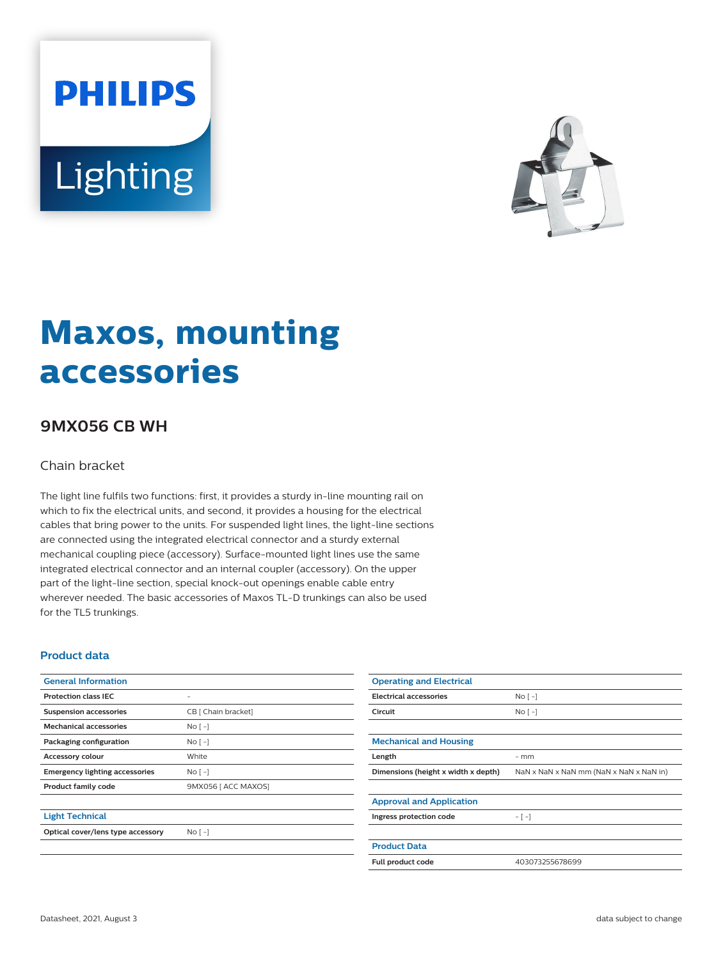



# **Maxos, mounting accessories**

## **9MX056 CB WH**

#### Chain bracket

The light line fulfils two functions: first, it provides a sturdy in-line mounting rail on which to fix the electrical units, and second, it provides a housing for the electrical cables that bring power to the units. For suspended light lines, the light-line sections are connected using the integrated electrical connector and a sturdy external mechanical coupling piece (accessory). Surface-mounted light lines use the same integrated electrical connector and an internal coupler (accessory). On the upper part of the light-line section, special knock-out openings enable cable entry wherever needed. The basic accessories of Maxos TL-D trunkings can also be used for the TL5 trunkings.

#### **Product data**

| <b>General Information</b>            |                     | Oper   |
|---------------------------------------|---------------------|--------|
| <b>Protection class IEC</b>           |                     | Electi |
| <b>Suspension accessories</b>         | CB [ Chain bracket] | Circui |
| <b>Mechanical accessories</b>         | $No [-]$            |        |
| Packaging configuration               | No <sub>1</sub>     | Mecl   |
| Accessory colour                      | White               | Lengt  |
| <b>Emergency lighting accessories</b> | $NQ$ [ -]           | Dime   |
| <b>Product family code</b>            | 9MX056 [ ACC MAXOS] |        |
|                                       |                     | Appr   |
| <b>Light Technical</b>                |                     | Ingres |
| Optical cover/lens type accessory     | No <sub>1</sub>     |        |

| <b>Operating and Electrical</b>     |                                         |
|-------------------------------------|-----------------------------------------|
| <b>Electrical accessories</b>       | $No [-]$                                |
| Circuit                             | $No [-]$                                |
|                                     |                                         |
| <b>Mechanical and Housing</b>       |                                         |
| Length                              | $-$ mm                                  |
| Dimensions (height x width x depth) | NaN x NaN x NaN mm (NaN x NaN x NaN in) |
|                                     |                                         |
| <b>Approval and Application</b>     |                                         |
| Ingress protection code             | $-[-]$                                  |
|                                     |                                         |
| <b>Product Data</b>                 |                                         |
| Full product code                   | 403073255678699                         |
|                                     |                                         |